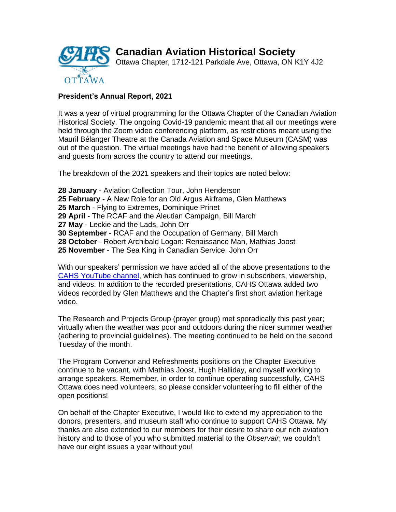

**Canadian Aviation Historical Society**  Ottawa Chapter, 1712-121 Parkdale Ave, Ottawa, ON K1Y 4J2

## **President's Annual Report, 2021**

It was a year of virtual programming for the Ottawa Chapter of the Canadian Aviation Historical Society. The ongoing Covid-19 pandemic meant that all our meetings were held through the Zoom video conferencing platform, as restrictions meant using the Mauril Bélanger Theatre at the Canada Aviation and Space Museum (CASM) was out of the question. The virtual meetings have had the benefit of allowing speakers and guests from across the country to attend our meetings.

The breakdown of the 2021 speakers and their topics are noted below:

- **28 January**  Aviation Collection Tour, John Henderson
- **25 February**  A New Role for an Old Argus Airframe, Glen Matthews
- **25 March**  Flying to Extremes, Dominique Prinet
- **29 April**  The RCAF and the Aleutian Campaign, Bill March
- **27 May**  Leckie and the Lads, John Orr
- **30 September** RCAF and the Occupation of Germany, Bill March
- **28 October**  Robert Archibald Logan: Renaissance Man, Mathias Joost
- **25 November**  The Sea King in Canadian Service, John Orr

With our speakers' permission we have added all of the above presentations to the [CAHS YouTube channel,](https://www.youtube.com/channel/UC8ZuxbzFdkXXcGKMZ4sbKXA) which has continued to grow in subscribers, viewership, and videos. In addition to the recorded presentations, CAHS Ottawa added two videos recorded by Glen Matthews and the Chapter's first short aviation heritage video.

The Research and Projects Group (prayer group) met sporadically this past year; virtually when the weather was poor and outdoors during the nicer summer weather (adhering to provincial guidelines). The meeting continued to be held on the second Tuesday of the month.

The Program Convenor and Refreshments positions on the Chapter Executive continue to be vacant, with Mathias Joost, Hugh Halliday, and myself working to arrange speakers. Remember, in order to continue operating successfully, CAHS Ottawa does need volunteers, so please consider volunteering to fill either of the open positions!

On behalf of the Chapter Executive, I would like to extend my appreciation to the donors, presenters, and museum staff who continue to support CAHS Ottawa. My thanks are also extended to our members for their desire to share our rich aviation history and to those of you who submitted material to the *Observair*; we couldn't have our eight issues a year without you!